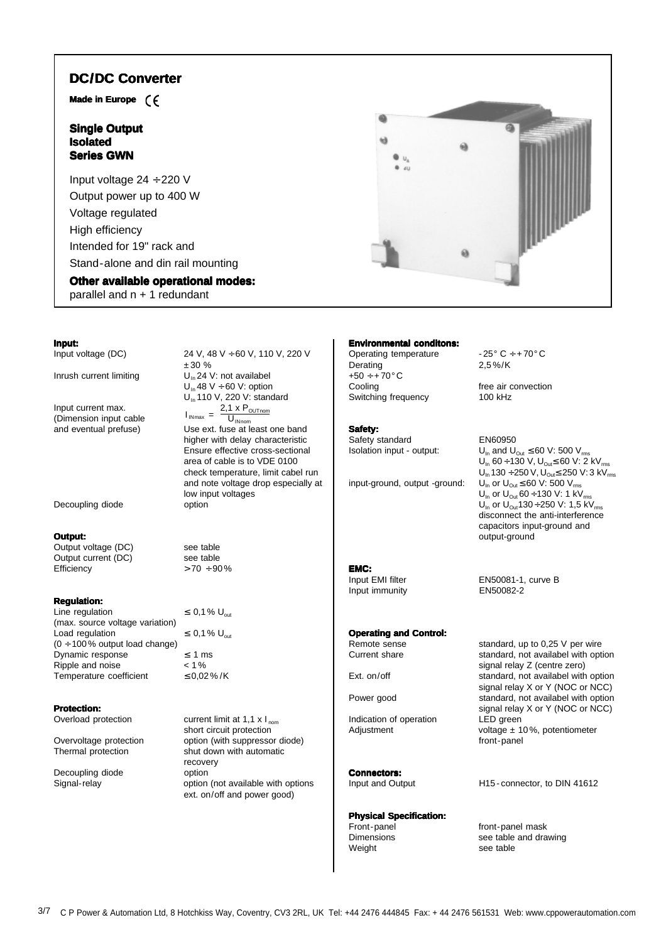# **DC/DC Converter DC**

**Made in Europe**

# **Single Output Isolated Series GWN**

Input voltage 24 ÷ 220 V Output power up to 400 W Voltage regulated High efficiency Intended for 19" rack and Stand-alone and din rail mounting

# **Other available operational modes:**

parallel and n + 1 redundant



Input current max.<br>(Dimension input cable  $I_{\text{INmax}} = \frac{2.1 \times P_{\text{OUTnom}}}{11}$ (Dimension input cable  $\frac{1_{Nmax}}{N} = \frac{1_{Nmax}}{U_{Nnom}}$ <br>and eventual prefuse) Use ext. fuse at le

Decoupling diode option

### **Output:**

Output voltage (DC) see table Output current (DC) see table<br>Efficiency  $> 70 \div 90$ 

### **Regulation:**

Line regulation  $\leq 0.1\%$  U<sub>out</sub> (max. source voltage variation) Load regulation  $\leq 0.1\%$  U<sub>out</sub>  $(0 \div 100\%$  output load change) Dynamic response  $\leq 1$  ms<br>Ripple and noise  $\leq 1\%$ Ripple and noise  $< 1\%$ <br>Temperature coefficient  $< 0.02\% / K$ Temperature coefficient

# **Protection:**<br>Overload protection

Decoupling diode option

Input voltage (DC)  $24 \text{ V}$ ,  $48 \text{ V} \div 60 \text{ V}$ ,  $110 \text{ V}$ ,  $220 \text{ V}$ ± 30 % Inrush current limiting  $U_{1n}$  24 V: not availabel  $U_{\text{in}}$  48 V ÷ 60 V: option U<sub>in</sub> 110 V, 220 V: standard

Use ext. fuse at least one band

higher with delay characteristic Ensure effective cross-sectional area of cable is to VDE 0100 check temperature, limit cabel run and note voltage drop especially at low input voltages

 $> 70 ÷ 90\%$ 

current limit at 1,1  $\times$  I<sub>nom</sub> short circuit protection Overvoltage protection option (with suppressor diode) Thermal protection shut down with automatic recovery Signal-relay option (not available with options ext. on/off and power good)

### **Environmental conditons:**

Operating temperature  $-25^\circ C \div 70^\circ C$ <br>Derating  $2.5\% / K$ Derating  $+50 \div +70$ °C<br>Cooling Switching frequency

### **Safety:**

Safety standard EN60950

input-ground, output -ground:

**EMC:**<br>Input EMI filter Input immunity EN50082-2

**Operating and Control:**

Indication of operation LED green

# **Connectors:**

# **Physical Specification:**

Weight see table

free air convection<br>100 kHz

Isolation input - output:  $U_{\text{in}}$  and  $U_{\text{out}} \leq 60$  V: 500 V<sub>rms</sub>  $U_{\text{in}}$  60 ÷ 130 V,  $U_{\text{Out}}$ ≤ 60 V: 2 kV<sub>rms</sub>  $U_{\text{in}}$  130 ÷ 250 V,  $U_{\text{out}}$ ≤ 250 V: 3 kV<sub>rms</sub><br>U<sub>In</sub> or U<sub>Out</sub> ≤ 60 V: 500 V<sub>rms</sub>  $U_{\text{in}}$  or  $U_{\text{out}}$  60 ÷ 130 V: 1 kV U<sub>In</sub> or U<sub>Out</sub>130 ÷ 250 V: 1,5 KV<sub>rms</sub> disconnect the anti-interference capacitors input-ground and output-ground

EN50081-1, curve B

Remote sense standard, up to 0,25 V per wire<br>Current share<br>Standard, not availabel with ont standard, not availabel with option signal relay Z (centre zero) Ext. on/off standard, not availabel with option signal relay X or Y (NOC or NCC) Power good standard, not availabel with option signal relay X or Y (NOC or NCC) Adjustment voltage ± 10%, potentiometer front-panel

Input and Output H15 - connector, to DIN 41612

Front-panel front-panel mask<br>Dimensions see table and dra see table and drawing